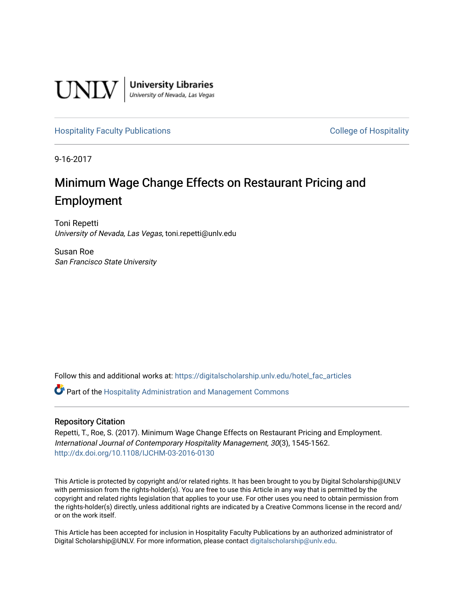

[Hospitality Faculty Publications](https://digitalscholarship.unlv.edu/hotel_fac_articles) **College of Hospitality College of Hospitality** 

9-16-2017

# Minimum Wage Change Effects on Restaurant Pricing and Employment

Toni Repetti University of Nevada, Las Vegas, toni.repetti@unlv.edu

Susan Roe San Francisco State University

Follow this and additional works at: [https://digitalscholarship.unlv.edu/hotel\\_fac\\_articles](https://digitalscholarship.unlv.edu/hotel_fac_articles?utm_source=digitalscholarship.unlv.edu%2Fhotel_fac_articles%2F146&utm_medium=PDF&utm_campaign=PDFCoverPages) 

 $\bullet$  Part of the Hospitality Administration and Management Commons

# Repository Citation

Repetti, T., Roe, S. (2017). Minimum Wage Change Effects on Restaurant Pricing and Employment. International Journal of Contemporary Hospitality Management, 30(3), 1545-1562. <http://dx.doi.org/10.1108/IJCHM-03-2016-0130>

This Article is protected by copyright and/or related rights. It has been brought to you by Digital Scholarship@UNLV with permission from the rights-holder(s). You are free to use this Article in any way that is permitted by the copyright and related rights legislation that applies to your use. For other uses you need to obtain permission from the rights-holder(s) directly, unless additional rights are indicated by a Creative Commons license in the record and/ or on the work itself.

This Article has been accepted for inclusion in Hospitality Faculty Publications by an authorized administrator of Digital Scholarship@UNLV. For more information, please contact [digitalscholarship@unlv.edu](mailto:digitalscholarship@unlv.edu).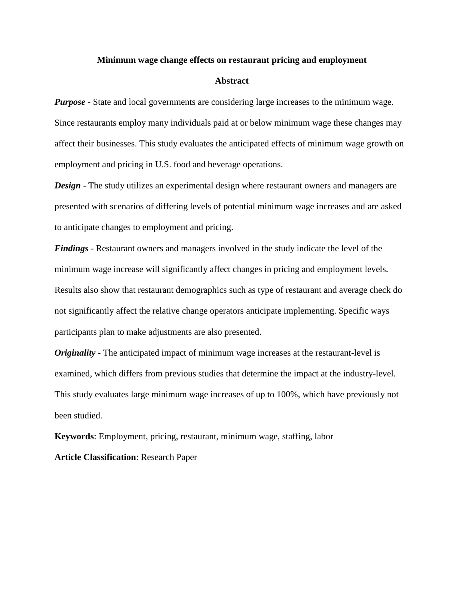## **Minimum wage change effects on restaurant pricing and employment**

## **Abstract**

*Purpose* - State and local governments are considering large increases to the minimum wage. Since restaurants employ many individuals paid at or below minimum wage these changes may affect their businesses. This study evaluates the anticipated effects of minimum wage growth on employment and pricing in U.S. food and beverage operations.

*Design* - The study utilizes an experimental design where restaurant owners and managers are presented with scenarios of differing levels of potential minimum wage increases and are asked to anticipate changes to employment and pricing.

*Findings* - Restaurant owners and managers involved in the study indicate the level of the minimum wage increase will significantly affect changes in pricing and employment levels. Results also show that restaurant demographics such as type of restaurant and average check do not significantly affect the relative change operators anticipate implementing. Specific ways participants plan to make adjustments are also presented.

*Originality* - The anticipated impact of minimum wage increases at the restaurant-level is examined, which differs from previous studies that determine the impact at the industry-level. This study evaluates large minimum wage increases of up to 100%, which have previously not been studied.

**Keywords**: Employment, pricing, restaurant, minimum wage, staffing, labor

**Article Classification**: Research Paper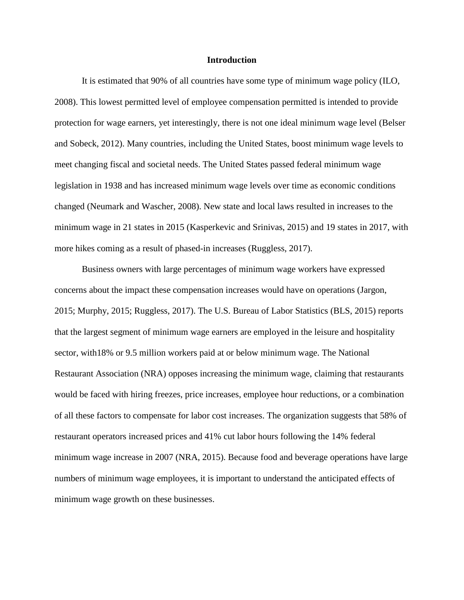## **Introduction**

It is estimated that 90% of all countries have some type of minimum wage policy (ILO, 2008). This lowest permitted level of employee compensation permitted is intended to provide protection for wage earners, yet interestingly, there is not one ideal minimum wage level (Belser and Sobeck, 2012). Many countries, including the United States, boost minimum wage levels to meet changing fiscal and societal needs. The United States passed federal minimum wage legislation in 1938 and has increased minimum wage levels over time as economic conditions changed (Neumark and Wascher, 2008). New state and local laws resulted in increases to the minimum wage in 21 states in 2015 (Kasperkevic and Srinivas, 2015) and 19 states in 2017, with more hikes coming as a result of phased-in increases (Ruggless, 2017).

Business owners with large percentages of minimum wage workers have expressed concerns about the impact these compensation increases would have on operations (Jargon, 2015; Murphy, 2015; Ruggless, 2017). The U.S. Bureau of Labor Statistics (BLS, 2015) reports that the largest segment of minimum wage earners are employed in the leisure and hospitality sector, with18% or 9.5 million workers paid at or below minimum wage. The National Restaurant Association (NRA) opposes increasing the minimum wage, claiming that restaurants would be faced with hiring freezes, price increases, employee hour reductions, or a combination of all these factors to compensate for labor cost increases. The organization suggests that 58% of restaurant operators increased prices and 41% cut labor hours following the 14% federal minimum wage increase in 2007 (NRA, 2015). Because food and beverage operations have large numbers of minimum wage employees, it is important to understand the anticipated effects of minimum wage growth on these businesses.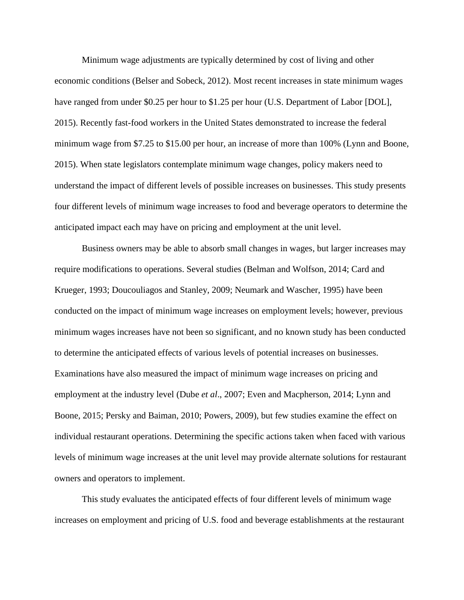Minimum wage adjustments are typically determined by cost of living and other economic conditions (Belser and Sobeck, 2012). Most recent increases in state minimum wages have ranged from under \$0.25 per hour to \$1.25 per hour (U.S. Department of Labor [DOL], 2015). Recently fast-food workers in the United States demonstrated to increase the federal minimum wage from \$7.25 to \$15.00 per hour, an increase of more than 100% (Lynn and Boone, 2015). When state legislators contemplate minimum wage changes, policy makers need to understand the impact of different levels of possible increases on businesses. This study presents four different levels of minimum wage increases to food and beverage operators to determine the anticipated impact each may have on pricing and employment at the unit level.

Business owners may be able to absorb small changes in wages, but larger increases may require modifications to operations. Several studies (Belman and Wolfson, 2014; Card and Krueger, 1993; Doucouliagos and Stanley, 2009; Neumark and Wascher, 1995) have been conducted on the impact of minimum wage increases on employment levels; however, previous minimum wages increases have not been so significant, and no known study has been conducted to determine the anticipated effects of various levels of potential increases on businesses. Examinations have also measured the impact of minimum wage increases on pricing and employment at the industry level (Dube *et al*., 2007; Even and Macpherson, 2014; Lynn and Boone, 2015; Persky and Baiman, 2010; Powers, 2009), but few studies examine the effect on individual restaurant operations. Determining the specific actions taken when faced with various levels of minimum wage increases at the unit level may provide alternate solutions for restaurant owners and operators to implement.

This study evaluates the anticipated effects of four different levels of minimum wage increases on employment and pricing of U.S. food and beverage establishments at the restaurant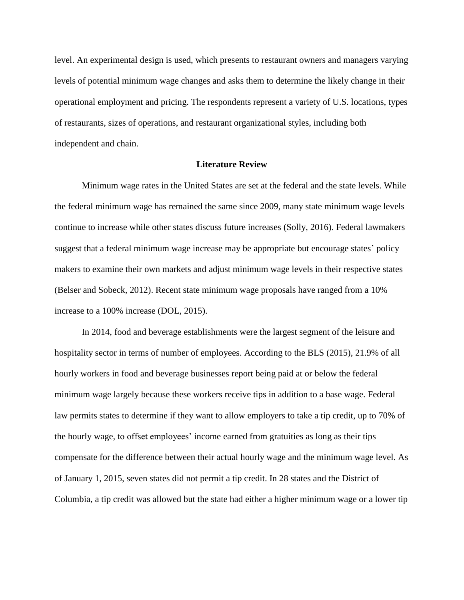level. An experimental design is used, which presents to restaurant owners and managers varying levels of potential minimum wage changes and asks them to determine the likely change in their operational employment and pricing. The respondents represent a variety of U.S. locations, types of restaurants, sizes of operations, and restaurant organizational styles, including both independent and chain.

## **Literature Review**

Minimum wage rates in the United States are set at the federal and the state levels. While the federal minimum wage has remained the same since 2009, many state minimum wage levels continue to increase while other states discuss future increases (Solly, 2016). Federal lawmakers suggest that a federal minimum wage increase may be appropriate but encourage states' policy makers to examine their own markets and adjust minimum wage levels in their respective states (Belser and Sobeck, 2012). Recent state minimum wage proposals have ranged from a 10% increase to a 100% increase (DOL, 2015).

In 2014, food and beverage establishments were the largest segment of the leisure and hospitality sector in terms of number of employees. According to the BLS (2015), 21.9% of all hourly workers in food and beverage businesses report being paid at or below the federal minimum wage largely because these workers receive tips in addition to a base wage. Federal law permits states to determine if they want to allow employers to take a tip credit, up to 70% of the hourly wage, to offset employees' income earned from gratuities as long as their tips compensate for the difference between their actual hourly wage and the minimum wage level. As of January 1, 2015, seven states did not permit a tip credit. In 28 states and the District of Columbia, a tip credit was allowed but the state had either a higher minimum wage or a lower tip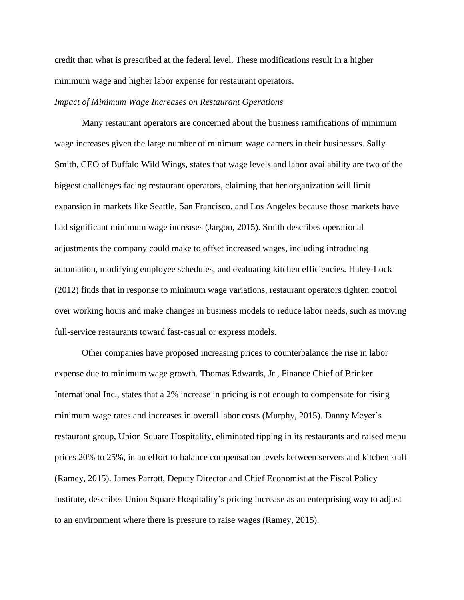credit than what is prescribed at the federal level. These modifications result in a higher minimum wage and higher labor expense for restaurant operators.

# *Impact of Minimum Wage Increases on Restaurant Operations*

Many restaurant operators are concerned about the business ramifications of minimum wage increases given the large number of minimum wage earners in their businesses. Sally Smith, CEO of Buffalo Wild Wings, states that wage levels and labor availability are two of the biggest challenges facing restaurant operators, claiming that her organization will limit expansion in markets like Seattle, San Francisco, and Los Angeles because those markets have had significant minimum wage increases (Jargon, 2015). Smith describes operational adjustments the company could make to offset increased wages, including introducing automation, modifying employee schedules, and evaluating kitchen efficiencies. Haley-Lock (2012) finds that in response to minimum wage variations, restaurant operators tighten control over working hours and make changes in business models to reduce labor needs, such as moving full-service restaurants toward fast-casual or express models.

Other companies have proposed increasing prices to counterbalance the rise in labor expense due to minimum wage growth. Thomas Edwards, Jr., Finance Chief of Brinker International Inc., states that a 2% increase in pricing is not enough to compensate for rising minimum wage rates and increases in overall labor costs (Murphy, 2015). Danny Meyer's restaurant group, Union Square Hospitality, eliminated tipping in its restaurants and raised menu prices 20% to 25%, in an effort to balance compensation levels between servers and kitchen staff (Ramey, 2015). James Parrott, Deputy Director and Chief Economist at the Fiscal Policy Institute, describes Union Square Hospitality's pricing increase as an enterprising way to adjust to an environment where there is pressure to raise wages (Ramey, 2015).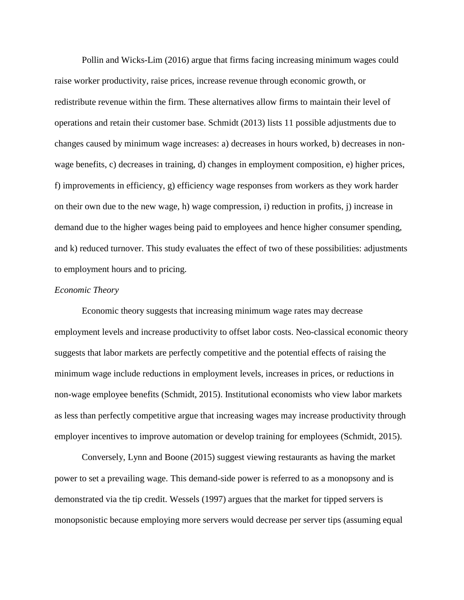Pollin and Wicks-Lim (2016) argue that firms facing increasing minimum wages could raise worker productivity, raise prices, increase revenue through economic growth, or redistribute revenue within the firm. These alternatives allow firms to maintain their level of operations and retain their customer base. Schmidt (2013) lists 11 possible adjustments due to changes caused by minimum wage increases: a) decreases in hours worked, b) decreases in nonwage benefits, c) decreases in training, d) changes in employment composition, e) higher prices, f) improvements in efficiency, g) efficiency wage responses from workers as they work harder on their own due to the new wage, h) wage compression, i) reduction in profits, j) increase in demand due to the higher wages being paid to employees and hence higher consumer spending, and k) reduced turnover. This study evaluates the effect of two of these possibilities: adjustments to employment hours and to pricing.

## *Economic Theory*

Economic theory suggests that increasing minimum wage rates may decrease employment levels and increase productivity to offset labor costs. Neo-classical economic theory suggests that labor markets are perfectly competitive and the potential effects of raising the minimum wage include reductions in employment levels, increases in prices, or reductions in non-wage employee benefits (Schmidt, 2015). Institutional economists who view labor markets as less than perfectly competitive argue that increasing wages may increase productivity through employer incentives to improve automation or develop training for employees (Schmidt, 2015).

Conversely, Lynn and Boone (2015) suggest viewing restaurants as having the market power to set a prevailing wage. This demand-side power is referred to as a monopsony and is demonstrated via the tip credit. Wessels (1997) argues that the market for tipped servers is monopsonistic because employing more servers would decrease per server tips (assuming equal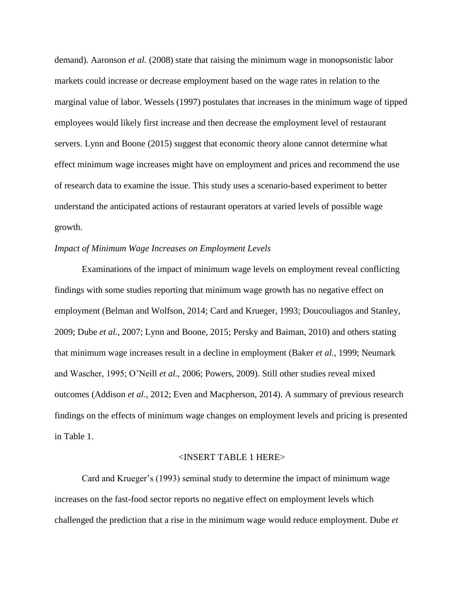demand). Aaronson *et al.* (2008) state that raising the minimum wage in monopsonistic labor markets could increase or decrease employment based on the wage rates in relation to the marginal value of labor. Wessels (1997) postulates that increases in the minimum wage of tipped employees would likely first increase and then decrease the employment level of restaurant servers. Lynn and Boone (2015) suggest that economic theory alone cannot determine what effect minimum wage increases might have on employment and prices and recommend the use of research data to examine the issue. This study uses a scenario-based experiment to better understand the anticipated actions of restaurant operators at varied levels of possible wage growth.

## *Impact of Minimum Wage Increases on Employment Levels*

Examinations of the impact of minimum wage levels on employment reveal conflicting findings with some studies reporting that minimum wage growth has no negative effect on employment (Belman and Wolfson, 2014; Card and Krueger, 1993; Doucouliagos and Stanley, 2009; Dube *et al.*, 2007; Lynn and Boone, 2015; Persky and Baiman, 2010) and others stating that minimum wage increases result in a decline in employment (Baker *et al.,* 1999; Neumark and Wascher, 1995; O'Neill *et al.*, 2006; Powers, 2009). Still other studies reveal mixed outcomes (Addison *et al.*, 2012; Even and Macpherson, 2014). A summary of previous research findings on the effects of minimum wage changes on employment levels and pricing is presented in Table 1.

# <INSERT TABLE 1 HERE>

Card and Krueger's (1993) seminal study to determine the impact of minimum wage increases on the fast-food sector reports no negative effect on employment levels which challenged the prediction that a rise in the minimum wage would reduce employment. Dube *et*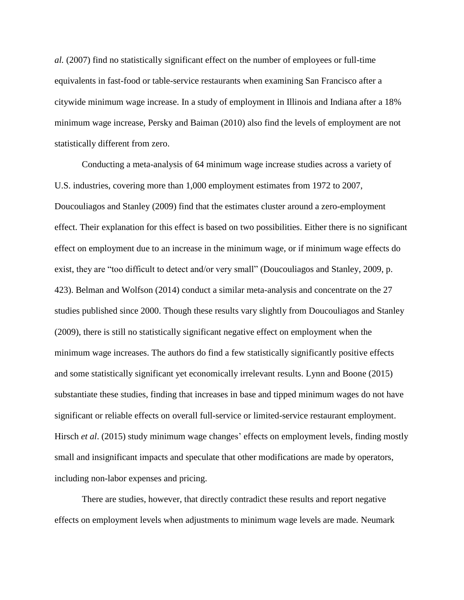*al.* (2007) find no statistically significant effect on the number of employees or full-time equivalents in fast-food or table-service restaurants when examining San Francisco after a citywide minimum wage increase. In a study of employment in Illinois and Indiana after a 18% minimum wage increase, Persky and Baiman (2010) also find the levels of employment are not statistically different from zero.

Conducting a meta-analysis of 64 minimum wage increase studies across a variety of U.S. industries, covering more than 1,000 employment estimates from 1972 to 2007, Doucouliagos and Stanley (2009) find that the estimates cluster around a zero-employment effect. Their explanation for this effect is based on two possibilities. Either there is no significant effect on employment due to an increase in the minimum wage, or if minimum wage effects do exist, they are "too difficult to detect and/or very small" (Doucouliagos and Stanley, 2009, p. 423). Belman and Wolfson (2014) conduct a similar meta-analysis and concentrate on the 27 studies published since 2000. Though these results vary slightly from Doucouliagos and Stanley (2009), there is still no statistically significant negative effect on employment when the minimum wage increases. The authors do find a few statistically significantly positive effects and some statistically significant yet economically irrelevant results. Lynn and Boone (2015) substantiate these studies, finding that increases in base and tipped minimum wages do not have significant or reliable effects on overall full-service or limited-service restaurant employment. Hirsch *et al.* (2015) study minimum wage changes' effects on employment levels, finding mostly small and insignificant impacts and speculate that other modifications are made by operators, including non-labor expenses and pricing.

There are studies, however, that directly contradict these results and report negative effects on employment levels when adjustments to minimum wage levels are made. Neumark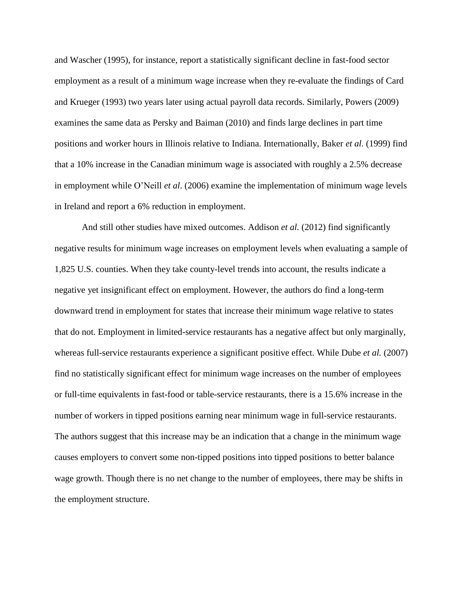and Wascher (1995), for instance, report a statistically significant decline in fast-food sector employment as a result of a minimum wage increase when they re-evaluate the findings of Card and Krueger (1993) two years later using actual payroll data records. Similarly, Powers (2009) examines the same data as Persky and Baiman (2010) and finds large declines in part time positions and worker hours in Illinois relative to Indiana. Internationally, Baker *et al.* (1999) find that a 10% increase in the Canadian minimum wage is associated with roughly a 2.5% decrease in employment while O'Neill *et al*. (2006) examine the implementation of minimum wage levels in Ireland and report a 6% reduction in employment.

And still other studies have mixed outcomes. Addison *et al.* (2012) find significantly negative results for minimum wage increases on employment levels when evaluating a sample of 1,825 U.S. counties. When they take county-level trends into account, the results indicate a negative yet insignificant effect on employment. However, the authors do find a long-term downward trend in employment for states that increase their minimum wage relative to states that do not. Employment in limited-service restaurants has a negative affect but only marginally, whereas full-service restaurants experience a significant positive effect. While Dube *et al.* (2007) find no statistically significant effect for minimum wage increases on the number of employees or full-time equivalents in fast-food or table-service restaurants, there is a 15.6% increase in the number of workers in tipped positions earning near minimum wage in full-service restaurants. The authors suggest that this increase may be an indication that a change in the minimum wage causes employers to convert some non-tipped positions into tipped positions to better balance wage growth. Though there is no net change to the number of employees, there may be shifts in the employment structure.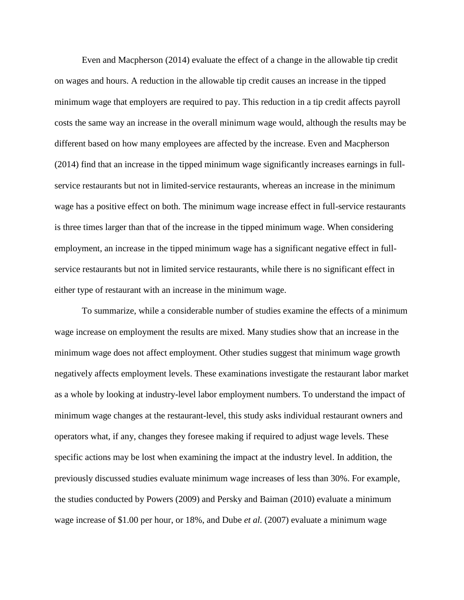Even and Macpherson (2014) evaluate the effect of a change in the allowable tip credit on wages and hours. A reduction in the allowable tip credit causes an increase in the tipped minimum wage that employers are required to pay. This reduction in a tip credit affects payroll costs the same way an increase in the overall minimum wage would, although the results may be different based on how many employees are affected by the increase. Even and Macpherson (2014) find that an increase in the tipped minimum wage significantly increases earnings in fullservice restaurants but not in limited-service restaurants, whereas an increase in the minimum wage has a positive effect on both. The minimum wage increase effect in full-service restaurants is three times larger than that of the increase in the tipped minimum wage. When considering employment, an increase in the tipped minimum wage has a significant negative effect in fullservice restaurants but not in limited service restaurants, while there is no significant effect in either type of restaurant with an increase in the minimum wage.

To summarize, while a considerable number of studies examine the effects of a minimum wage increase on employment the results are mixed. Many studies show that an increase in the minimum wage does not affect employment. Other studies suggest that minimum wage growth negatively affects employment levels. These examinations investigate the restaurant labor market as a whole by looking at industry-level labor employment numbers. To understand the impact of minimum wage changes at the restaurant-level, this study asks individual restaurant owners and operators what, if any, changes they foresee making if required to adjust wage levels. These specific actions may be lost when examining the impact at the industry level. In addition, the previously discussed studies evaluate minimum wage increases of less than 30%. For example, the studies conducted by Powers (2009) and Persky and Baiman (2010) evaluate a minimum wage increase of \$1.00 per hour, or 18%, and Dube *et al.* (2007) evaluate a minimum wage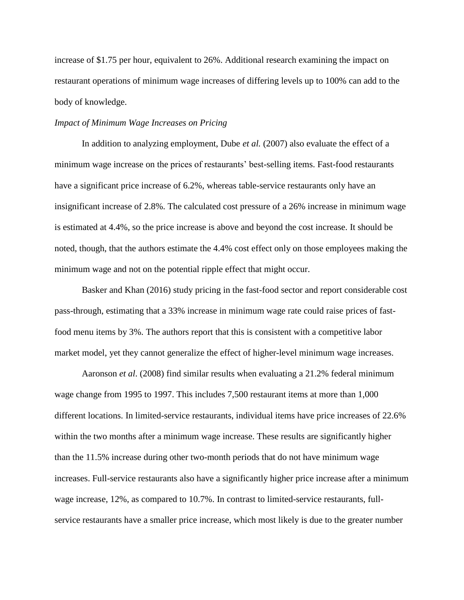increase of \$1.75 per hour, equivalent to 26%. Additional research examining the impact on restaurant operations of minimum wage increases of differing levels up to 100% can add to the body of knowledge.

# *Impact of Minimum Wage Increases on Pricing*

In addition to analyzing employment, Dube *et al.* (2007) also evaluate the effect of a minimum wage increase on the prices of restaurants' best-selling items. Fast-food restaurants have a significant price increase of 6.2%, whereas table-service restaurants only have an insignificant increase of 2.8%. The calculated cost pressure of a 26% increase in minimum wage is estimated at 4.4%, so the price increase is above and beyond the cost increase. It should be noted, though, that the authors estimate the 4.4% cost effect only on those employees making the minimum wage and not on the potential ripple effect that might occur.

Basker and Khan (2016) study pricing in the fast-food sector and report considerable cost pass-through, estimating that a 33% increase in minimum wage rate could raise prices of fastfood menu items by 3%. The authors report that this is consistent with a competitive labor market model, yet they cannot generalize the effect of higher-level minimum wage increases.

Aaronson *et al*. (2008) find similar results when evaluating a 21.2% federal minimum wage change from 1995 to 1997. This includes 7,500 restaurant items at more than 1,000 different locations. In limited-service restaurants, individual items have price increases of 22.6% within the two months after a minimum wage increase. These results are significantly higher than the 11.5% increase during other two-month periods that do not have minimum wage increases. Full-service restaurants also have a significantly higher price increase after a minimum wage increase, 12%, as compared to 10.7%. In contrast to limited-service restaurants, fullservice restaurants have a smaller price increase, which most likely is due to the greater number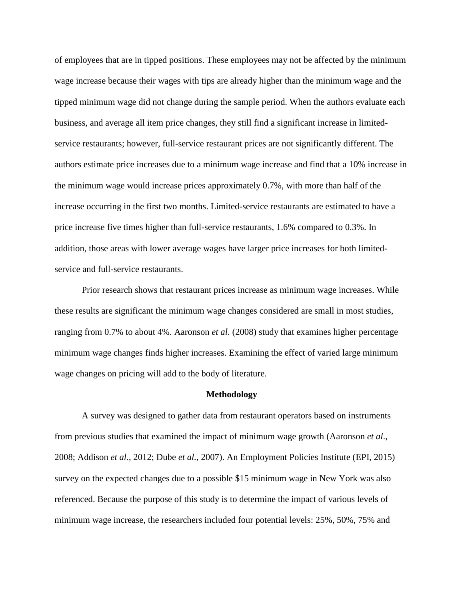of employees that are in tipped positions. These employees may not be affected by the minimum wage increase because their wages with tips are already higher than the minimum wage and the tipped minimum wage did not change during the sample period. When the authors evaluate each business, and average all item price changes, they still find a significant increase in limitedservice restaurants; however, full-service restaurant prices are not significantly different. The authors estimate price increases due to a minimum wage increase and find that a 10% increase in the minimum wage would increase prices approximately 0.7%, with more than half of the increase occurring in the first two months. Limited-service restaurants are estimated to have a price increase five times higher than full-service restaurants, 1.6% compared to 0.3%. In addition, those areas with lower average wages have larger price increases for both limitedservice and full-service restaurants.

Prior research shows that restaurant prices increase as minimum wage increases. While these results are significant the minimum wage changes considered are small in most studies, ranging from 0.7% to about 4%. Aaronson *et al*. (2008) study that examines higher percentage minimum wage changes finds higher increases. Examining the effect of varied large minimum wage changes on pricing will add to the body of literature.

#### **Methodology**

A survey was designed to gather data from restaurant operators based on instruments from previous studies that examined the impact of minimum wage growth (Aaronson *et al*., 2008; Addison *et al.*, 2012; Dube *et al.,* 2007). An Employment Policies Institute (EPI, 2015) survey on the expected changes due to a possible \$15 minimum wage in New York was also referenced. Because the purpose of this study is to determine the impact of various levels of minimum wage increase, the researchers included four potential levels: 25%, 50%, 75% and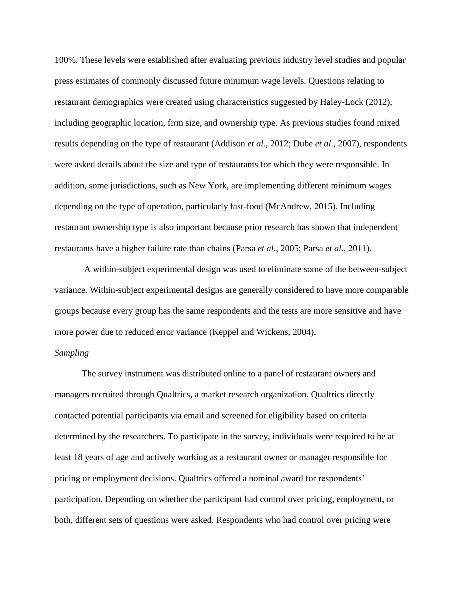100%. These levels were established after evaluating previous industry level studies and popular press estimates of commonly discussed future minimum wage levels. Questions relating to restaurant demographics were created using characteristics suggested by Haley-Lock (2012), including geographic location, firm size, and ownership type. As previous studies found mixed results depending on the type of restaurant (Addison *et al.*, 2012; Dube *et al.,* 2007), respondents were asked details about the size and type of restaurants for which they were responsible. In addition, some jurisdictions, such as New York, are implementing different minimum wages depending on the type of operation, particularly fast-food (McAndrew, 2015). Including restaurant ownership type is also important because prior research has shown that independent restaurants have a higher failure rate than chains (Parsa *et al.*, 2005; Parsa *et al.*, 2011).

A within-subject experimental design was used to eliminate some of the between-subject variance. Within-subject experimental designs are generally considered to have more comparable groups because every group has the same respondents and the tests are more sensitive and have more power due to reduced error variance (Keppel and Wickens, 2004).

# *Sampling*

The survey instrument was distributed online to a panel of restaurant owners and managers recruited through Qualtrics, a market research organization. Qualtrics directly contacted potential participants via email and screened for eligibility based on criteria determined by the researchers. To participate in the survey, individuals were required to be at least 18 years of age and actively working as a restaurant owner or manager responsible for pricing or employment decisions. Qualtrics offered a nominal award for respondents' participation. Depending on whether the participant had control over pricing, employment, or both, different sets of questions were asked. Respondents who had control over pricing were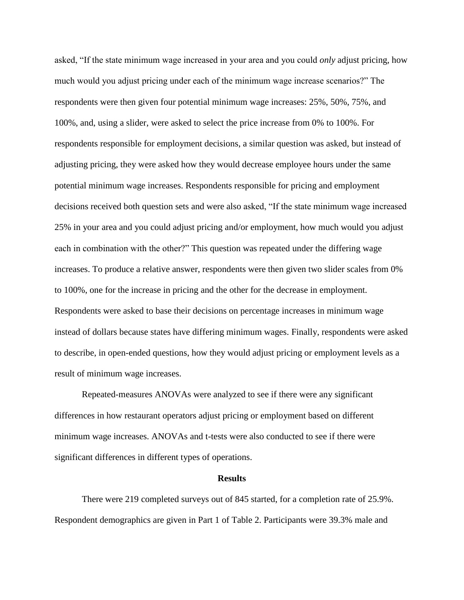asked, "If the state minimum wage increased in your area and you could *only* adjust pricing, how much would you adjust pricing under each of the minimum wage increase scenarios?" The respondents were then given four potential minimum wage increases: 25%, 50%, 75%, and 100%, and, using a slider, were asked to select the price increase from 0% to 100%. For respondents responsible for employment decisions, a similar question was asked, but instead of adjusting pricing, they were asked how they would decrease employee hours under the same potential minimum wage increases. Respondents responsible for pricing and employment decisions received both question sets and were also asked, "If the state minimum wage increased 25% in your area and you could adjust pricing and/or employment, how much would you adjust each in combination with the other?" This question was repeated under the differing wage increases. To produce a relative answer, respondents were then given two slider scales from 0% to 100%, one for the increase in pricing and the other for the decrease in employment. Respondents were asked to base their decisions on percentage increases in minimum wage instead of dollars because states have differing minimum wages. Finally, respondents were asked to describe, in open-ended questions, how they would adjust pricing or employment levels as a result of minimum wage increases.

Repeated-measures ANOVAs were analyzed to see if there were any significant differences in how restaurant operators adjust pricing or employment based on different minimum wage increases. ANOVAs and t-tests were also conducted to see if there were significant differences in different types of operations.

#### **Results**

There were 219 completed surveys out of 845 started, for a completion rate of 25.9%. Respondent demographics are given in Part 1 of Table 2. Participants were 39.3% male and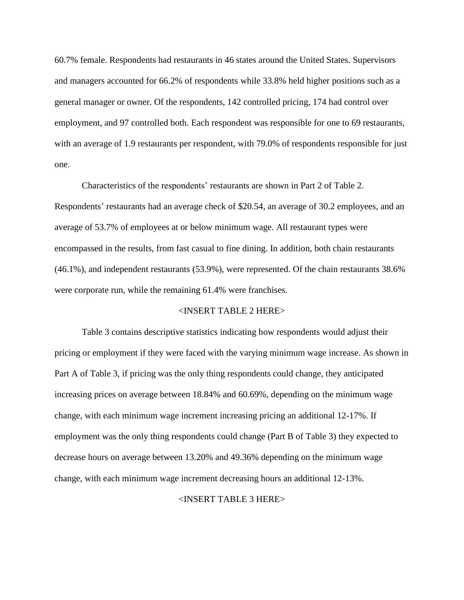60.7% female. Respondents had restaurants in 46 states around the United States. Supervisors and managers accounted for 66.2% of respondents while 33.8% held higher positions such as a general manager or owner. Of the respondents, 142 controlled pricing, 174 had control over employment, and 97 controlled both. Each respondent was responsible for one to 69 restaurants, with an average of 1.9 restaurants per respondent, with 79.0% of respondents responsible for just one.

Characteristics of the respondents' restaurants are shown in Part 2 of Table 2. Respondents' restaurants had an average check of \$20.54, an average of 30.2 employees, and an average of 53.7% of employees at or below minimum wage. All restaurant types were encompassed in the results, from fast casual to fine dining. In addition, both chain restaurants (46.1%), and independent restaurants (53.9%), were represented. Of the chain restaurants 38.6% were corporate run, while the remaining 61.4% were franchises.

## <INSERT TABLE 2 HERE>

Table 3 contains descriptive statistics indicating how respondents would adjust their pricing or employment if they were faced with the varying minimum wage increase. As shown in Part A of Table 3, if pricing was the only thing respondents could change, they anticipated increasing prices on average between 18.84% and 60.69%, depending on the minimum wage change, with each minimum wage increment increasing pricing an additional 12-17%. If employment was the only thing respondents could change (Part B of Table 3) they expected to decrease hours on average between 13.20% and 49.36% depending on the minimum wage change, with each minimum wage increment decreasing hours an additional 12-13%.

# <INSERT TABLE 3 HERE>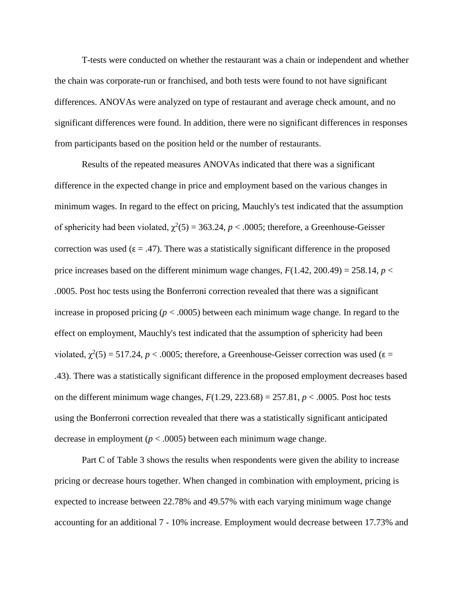T-tests were conducted on whether the restaurant was a chain or independent and whether the chain was corporate-run or franchised, and both tests were found to not have significant differences. ANOVAs were analyzed on type of restaurant and average check amount, and no significant differences were found. In addition, there were no significant differences in responses from participants based on the position held or the number of restaurants.

Results of the repeated measures ANOVAs indicated that there was a significant difference in the expected change in price and employment based on the various changes in minimum wages. In regard to the effect on pricing, Mauchly's test indicated that the assumption of sphericity had been violated,  $\chi^2(5) = 363.24$ ,  $p < .0005$ ; therefore, a Greenhouse-Geisser correction was used ( $\varepsilon = .47$ ). There was a statistically significant difference in the proposed price increases based on the different minimum wage changes,  $F(1.42, 200.49) = 258.14$ ,  $p <$ .0005. Post hoc tests using the Bonferroni correction revealed that there was a significant increase in proposed pricing (*p* < .0005) between each minimum wage change. In regard to the effect on employment, Mauchly's test indicated that the assumption of sphericity had been violated,  $\chi^2(5) = 517.24$ ,  $p < .0005$ ; therefore, a Greenhouse-Geisser correction was used ( $\varepsilon =$ .43). There was a statistically significant difference in the proposed employment decreases based on the different minimum wage changes,  $F(1.29, 223.68) = 257.81, p < .0005$ . Post hoc tests using the Bonferroni correction revealed that there was a statistically significant anticipated decrease in employment ( $p < .0005$ ) between each minimum wage change.

Part C of Table 3 shows the results when respondents were given the ability to increase pricing or decrease hours together. When changed in combination with employment, pricing is expected to increase between 22.78% and 49.57% with each varying minimum wage change accounting for an additional 7 - 10% increase. Employment would decrease between 17.73% and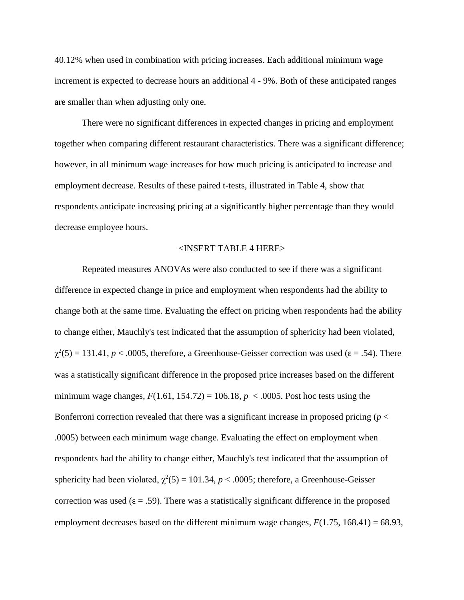40.12% when used in combination with pricing increases. Each additional minimum wage increment is expected to decrease hours an additional 4 - 9%. Both of these anticipated ranges are smaller than when adjusting only one.

There were no significant differences in expected changes in pricing and employment together when comparing different restaurant characteristics. There was a significant difference; however, in all minimum wage increases for how much pricing is anticipated to increase and employment decrease. Results of these paired t-tests, illustrated in Table 4, show that respondents anticipate increasing pricing at a significantly higher percentage than they would decrease employee hours.

# <INSERT TABLE 4 HERE>

Repeated measures ANOVAs were also conducted to see if there was a significant difference in expected change in price and employment when respondents had the ability to change both at the same time. Evaluating the effect on pricing when respondents had the ability to change either, Mauchly's test indicated that the assumption of sphericity had been violated,  $\chi^2(5) = 131.41, p < .0005$ , therefore, a Greenhouse-Geisser correction was used ( $\varepsilon = .54$ ). There was a statistically significant difference in the proposed price increases based on the different minimum wage changes,  $F(1.61, 154.72) = 106.18$ ,  $p < .0005$ . Post hoc tests using the Bonferroni correction revealed that there was a significant increase in proposed pricing ( $p <$ .0005) between each minimum wage change. Evaluating the effect on employment when respondents had the ability to change either, Mauchly's test indicated that the assumption of sphericity had been violated,  $\chi^2(5) = 101.34$ ,  $p < .0005$ ; therefore, a Greenhouse-Geisser correction was used ( $\varepsilon = .59$ ). There was a statistically significant difference in the proposed employment decreases based on the different minimum wage changes,  $F(1.75, 168.41) = 68.93$ ,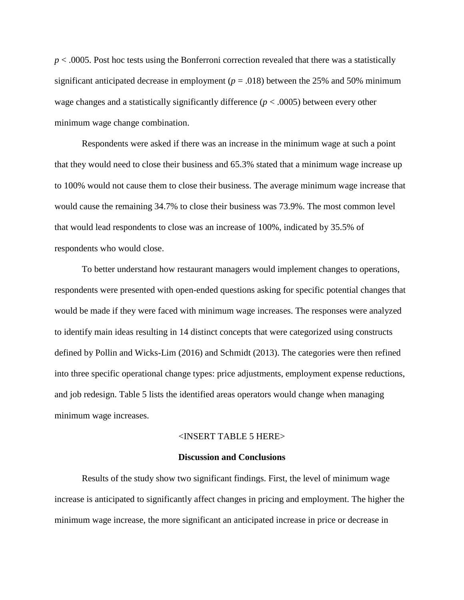*p* < .0005. Post hoc tests using the Bonferroni correction revealed that there was a statistically significant anticipated decrease in employment ( $p = .018$ ) between the 25% and 50% minimum wage changes and a statistically significantly difference (*p* < .0005) between every other minimum wage change combination.

Respondents were asked if there was an increase in the minimum wage at such a point that they would need to close their business and 65.3% stated that a minimum wage increase up to 100% would not cause them to close their business. The average minimum wage increase that would cause the remaining 34.7% to close their business was 73.9%. The most common level that would lead respondents to close was an increase of 100%, indicated by 35.5% of respondents who would close.

To better understand how restaurant managers would implement changes to operations, respondents were presented with open-ended questions asking for specific potential changes that would be made if they were faced with minimum wage increases. The responses were analyzed to identify main ideas resulting in 14 distinct concepts that were categorized using constructs defined by Pollin and Wicks-Lim (2016) and Schmidt (2013). The categories were then refined into three specific operational change types: price adjustments, employment expense reductions, and job redesign. Table 5 lists the identified areas operators would change when managing minimum wage increases.

#### <INSERT TABLE 5 HERE>

## **Discussion and Conclusions**

Results of the study show two significant findings. First, the level of minimum wage increase is anticipated to significantly affect changes in pricing and employment. The higher the minimum wage increase, the more significant an anticipated increase in price or decrease in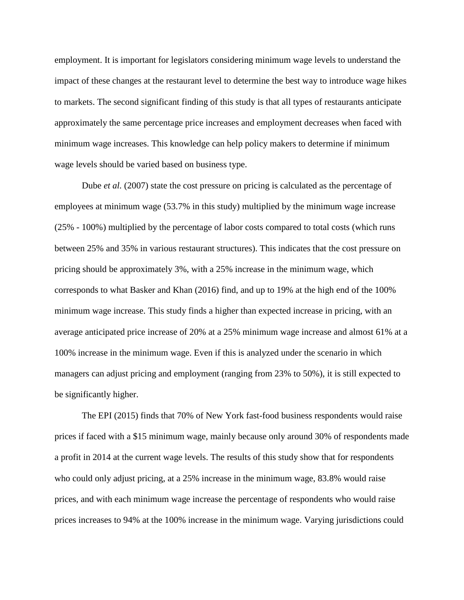employment. It is important for legislators considering minimum wage levels to understand the impact of these changes at the restaurant level to determine the best way to introduce wage hikes to markets. The second significant finding of this study is that all types of restaurants anticipate approximately the same percentage price increases and employment decreases when faced with minimum wage increases. This knowledge can help policy makers to determine if minimum wage levels should be varied based on business type.

Dube *et al.* (2007) state the cost pressure on pricing is calculated as the percentage of employees at minimum wage (53.7% in this study) multiplied by the minimum wage increase (25% - 100%) multiplied by the percentage of labor costs compared to total costs (which runs between 25% and 35% in various restaurant structures). This indicates that the cost pressure on pricing should be approximately 3%, with a 25% increase in the minimum wage, which corresponds to what Basker and Khan (2016) find, and up to 19% at the high end of the 100% minimum wage increase. This study finds a higher than expected increase in pricing, with an average anticipated price increase of 20% at a 25% minimum wage increase and almost 61% at a 100% increase in the minimum wage. Even if this is analyzed under the scenario in which managers can adjust pricing and employment (ranging from 23% to 50%), it is still expected to be significantly higher.

The EPI (2015) finds that 70% of New York fast-food business respondents would raise prices if faced with a \$15 minimum wage, mainly because only around 30% of respondents made a profit in 2014 at the current wage levels. The results of this study show that for respondents who could only adjust pricing, at a 25% increase in the minimum wage, 83.8% would raise prices, and with each minimum wage increase the percentage of respondents who would raise prices increases to 94% at the 100% increase in the minimum wage. Varying jurisdictions could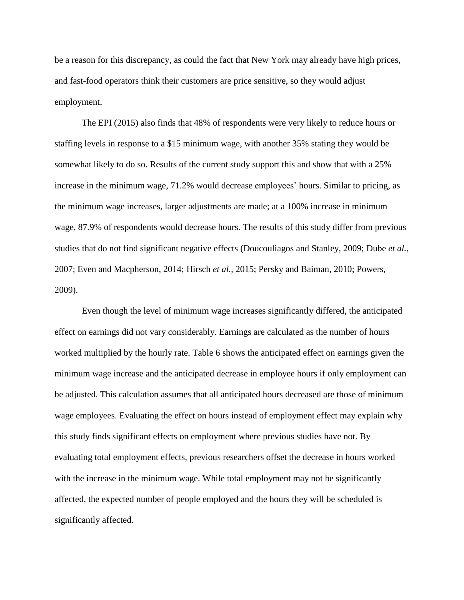be a reason for this discrepancy, as could the fact that New York may already have high prices, and fast-food operators think their customers are price sensitive, so they would adjust employment.

The EPI (2015) also finds that 48% of respondents were very likely to reduce hours or staffing levels in response to a \$15 minimum wage, with another 35% stating they would be somewhat likely to do so. Results of the current study support this and show that with a 25% increase in the minimum wage, 71.2% would decrease employees' hours. Similar to pricing, as the minimum wage increases, larger adjustments are made; at a 100% increase in minimum wage, 87.9% of respondents would decrease hours. The results of this study differ from previous studies that do not find significant negative effects (Doucouliagos and Stanley, 2009; Dube *et al.*, 2007; Even and Macpherson, 2014; Hirsch *et al.*, 2015; Persky and Baiman, 2010; Powers, 2009).

Even though the level of minimum wage increases significantly differed, the anticipated effect on earnings did not vary considerably. Earnings are calculated as the number of hours worked multiplied by the hourly rate. Table 6 shows the anticipated effect on earnings given the minimum wage increase and the anticipated decrease in employee hours if only employment can be adjusted. This calculation assumes that all anticipated hours decreased are those of minimum wage employees. Evaluating the effect on hours instead of employment effect may explain why this study finds significant effects on employment where previous studies have not. By evaluating total employment effects, previous researchers offset the decrease in hours worked with the increase in the minimum wage. While total employment may not be significantly affected, the expected number of people employed and the hours they will be scheduled is significantly affected.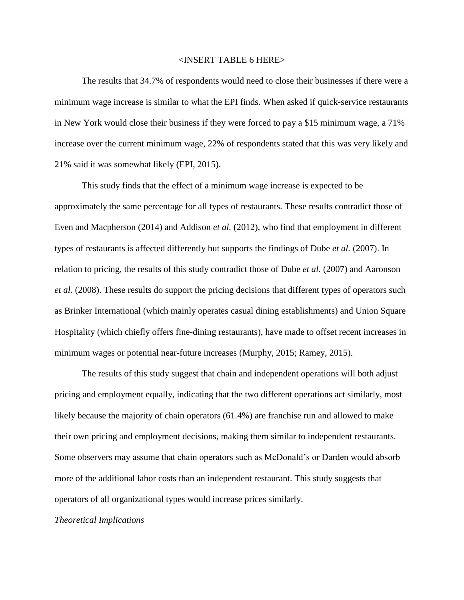## <INSERT TABLE 6 HERE>

The results that 34.7% of respondents would need to close their businesses if there were a minimum wage increase is similar to what the EPI finds. When asked if quick-service restaurants in New York would close their business if they were forced to pay a \$15 minimum wage, a 71% increase over the current minimum wage, 22% of respondents stated that this was very likely and 21% said it was somewhat likely (EPI, 2015).

This study finds that the effect of a minimum wage increase is expected to be approximately the same percentage for all types of restaurants. These results contradict those of Even and Macpherson (2014) and Addison *et al.* (2012), who find that employment in different types of restaurants is affected differently but supports the findings of Dube *et al.* (2007). In relation to pricing, the results of this study contradict those of Dube *et al.* (2007) and Aaronson *et al.* (2008). These results do support the pricing decisions that different types of operators such as Brinker International (which mainly operates casual dining establishments) and Union Square Hospitality (which chiefly offers fine-dining restaurants), have made to offset recent increases in minimum wages or potential near-future increases (Murphy, 2015; Ramey, 2015).

The results of this study suggest that chain and independent operations will both adjust pricing and employment equally, indicating that the two different operations act similarly, most likely because the majority of chain operators (61.4%) are franchise run and allowed to make their own pricing and employment decisions, making them similar to independent restaurants. Some observers may assume that chain operators such as McDonald's or Darden would absorb more of the additional labor costs than an independent restaurant. This study suggests that operators of all organizational types would increase prices similarly.

# *Theoretical Implications*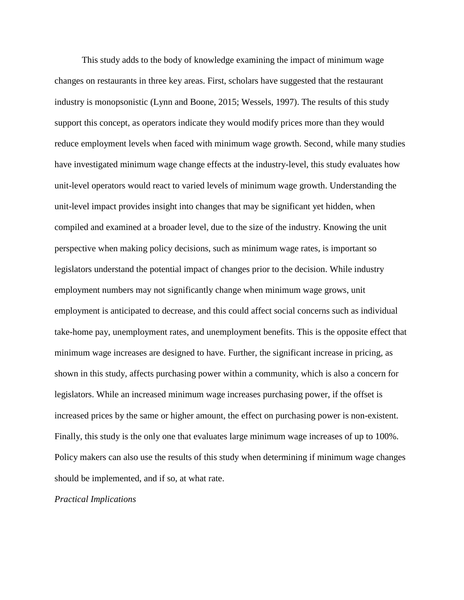This study adds to the body of knowledge examining the impact of minimum wage changes on restaurants in three key areas. First, scholars have suggested that the restaurant industry is monopsonistic (Lynn and Boone, 2015; Wessels, 1997). The results of this study support this concept, as operators indicate they would modify prices more than they would reduce employment levels when faced with minimum wage growth. Second, while many studies have investigated minimum wage change effects at the industry-level, this study evaluates how unit-level operators would react to varied levels of minimum wage growth. Understanding the unit-level impact provides insight into changes that may be significant yet hidden, when compiled and examined at a broader level, due to the size of the industry. Knowing the unit perspective when making policy decisions, such as minimum wage rates, is important so legislators understand the potential impact of changes prior to the decision. While industry employment numbers may not significantly change when minimum wage grows, unit employment is anticipated to decrease, and this could affect social concerns such as individual take-home pay, unemployment rates, and unemployment benefits. This is the opposite effect that minimum wage increases are designed to have. Further, the significant increase in pricing, as shown in this study, affects purchasing power within a community, which is also a concern for legislators. While an increased minimum wage increases purchasing power, if the offset is increased prices by the same or higher amount, the effect on purchasing power is non-existent. Finally, this study is the only one that evaluates large minimum wage increases of up to 100%. Policy makers can also use the results of this study when determining if minimum wage changes should be implemented, and if so, at what rate.

# *Practical Implications*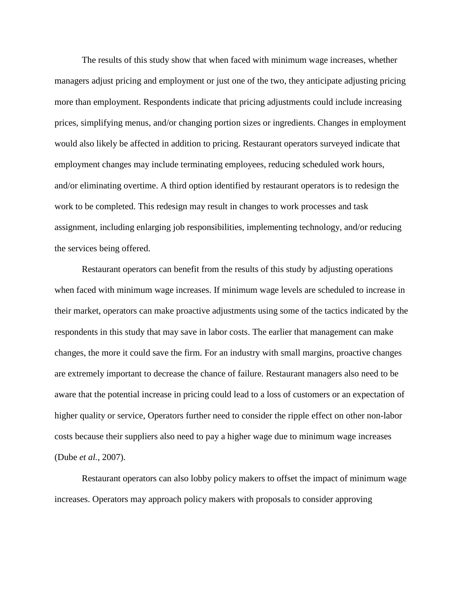The results of this study show that when faced with minimum wage increases, whether managers adjust pricing and employment or just one of the two, they anticipate adjusting pricing more than employment. Respondents indicate that pricing adjustments could include increasing prices, simplifying menus, and/or changing portion sizes or ingredients. Changes in employment would also likely be affected in addition to pricing. Restaurant operators surveyed indicate that employment changes may include terminating employees, reducing scheduled work hours, and/or eliminating overtime. A third option identified by restaurant operators is to redesign the work to be completed. This redesign may result in changes to work processes and task assignment, including enlarging job responsibilities, implementing technology, and/or reducing the services being offered.

Restaurant operators can benefit from the results of this study by adjusting operations when faced with minimum wage increases. If minimum wage levels are scheduled to increase in their market, operators can make proactive adjustments using some of the tactics indicated by the respondents in this study that may save in labor costs. The earlier that management can make changes, the more it could save the firm. For an industry with small margins, proactive changes are extremely important to decrease the chance of failure. Restaurant managers also need to be aware that the potential increase in pricing could lead to a loss of customers or an expectation of higher quality or service, Operators further need to consider the ripple effect on other non-labor costs because their suppliers also need to pay a higher wage due to minimum wage increases (Dube *et al.*, 2007).

Restaurant operators can also lobby policy makers to offset the impact of minimum wage increases. Operators may approach policy makers with proposals to consider approving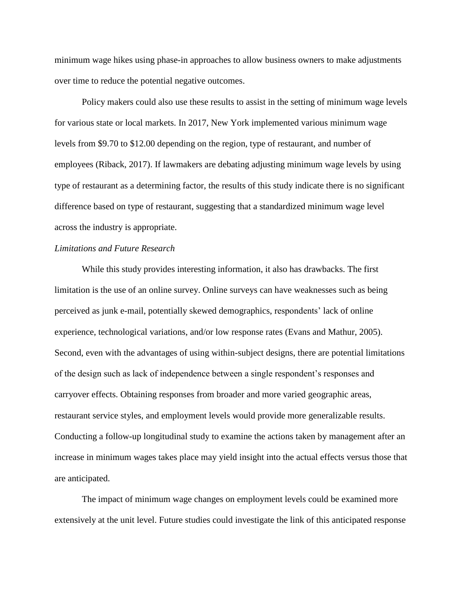minimum wage hikes using phase-in approaches to allow business owners to make adjustments over time to reduce the potential negative outcomes.

Policy makers could also use these results to assist in the setting of minimum wage levels for various state or local markets. In 2017, New York implemented various minimum wage levels from \$9.70 to \$12.00 depending on the region, type of restaurant, and number of employees (Riback, 2017). If lawmakers are debating adjusting minimum wage levels by using type of restaurant as a determining factor, the results of this study indicate there is no significant difference based on type of restaurant, suggesting that a standardized minimum wage level across the industry is appropriate.

# *Limitations and Future Research*

While this study provides interesting information, it also has drawbacks. The first limitation is the use of an online survey. Online surveys can have weaknesses such as being perceived as junk e-mail, potentially skewed demographics, respondents' lack of online experience, technological variations, and/or low response rates (Evans and Mathur, 2005). Second, even with the advantages of using within-subject designs, there are potential limitations of the design such as lack of independence between a single respondent's responses and carryover effects. Obtaining responses from broader and more varied geographic areas, restaurant service styles, and employment levels would provide more generalizable results. Conducting a follow-up longitudinal study to examine the actions taken by management after an increase in minimum wages takes place may yield insight into the actual effects versus those that are anticipated.

The impact of minimum wage changes on employment levels could be examined more extensively at the unit level. Future studies could investigate the link of this anticipated response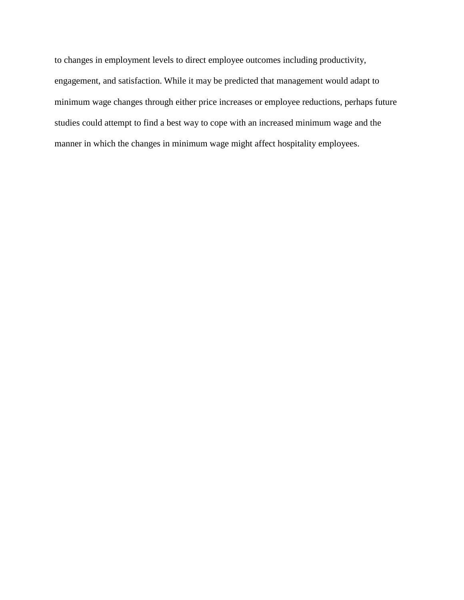to changes in employment levels to direct employee outcomes including productivity, engagement, and satisfaction. While it may be predicted that management would adapt to minimum wage changes through either price increases or employee reductions, perhaps future studies could attempt to find a best way to cope with an increased minimum wage and the manner in which the changes in minimum wage might affect hospitality employees.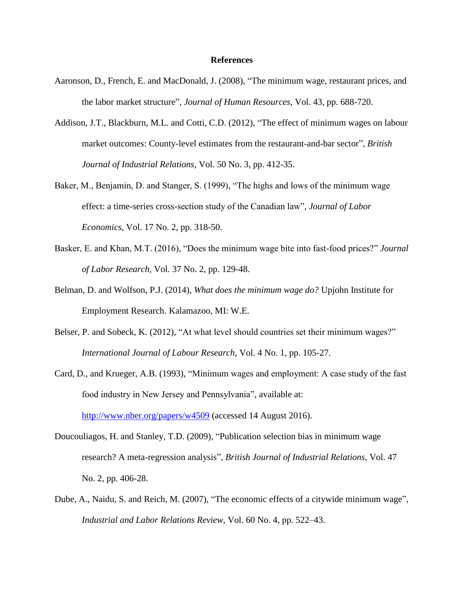## **References**

- Aaronson, D., French, E. and MacDonald, J. (2008), "The minimum wage, restaurant prices, and the labor market structure", *Journal of Human Resources,* Vol. 43, pp. 688-720.
- Addison, J.T., Blackburn, M.L. and Cotti, C.D. (2012), "The effect of minimum wages on labour market outcomes: County-level estimates from the restaurant-and-bar sector", *British Journal of Industrial Relations,* Vol. 50 No. 3, pp. 412-35.
- Baker, M., Benjamin, D. and Stanger, S. (1999), "The highs and lows of the minimum wage effect: a time-series cross-section study of the Canadian law", *Journal of Labor Economics*, Vol. 17 No. 2, pp. 318-50.
- Basker, E. and Khan, M.T. (2016), "Does the minimum wage bite into fast-food prices?" *Journal of Labor Research*, Vol. 37 No. 2, pp. 129-48.
- Belman, D. and Wolfson, P.J. (2014), *What does the minimum wage do?* Upjohn Institute for Employment Research. Kalamazoo, MI: W.E.
- Belser, P. and Sobeck, K. (2012), "At what level should countries set their minimum wages?" *International Journal of Labour Research*, Vol. 4 No. 1, pp. 105-27.
- Card, D., and Krueger, A.B. (1993), "Minimum wages and employment: A case study of the fast food industry in New Jersey and Pennsylvania", available at: <http://www.nber.org/papers/w4509> (accessed 14 August 2016).
- Doucouliagos, H. and Stanley, T.D. (2009), "Publication selection bias in minimum wage research? A meta-regression analysis", *British Journal of Industrial Relations,* Vol. 47 No. 2, pp. 406-28.
- Dube, A., Naidu, S. and Reich, M. (2007), "The economic effects of a citywide minimum wage", *Industrial and Labor Relations Review,* Vol. 60 No. 4, pp. 522–43.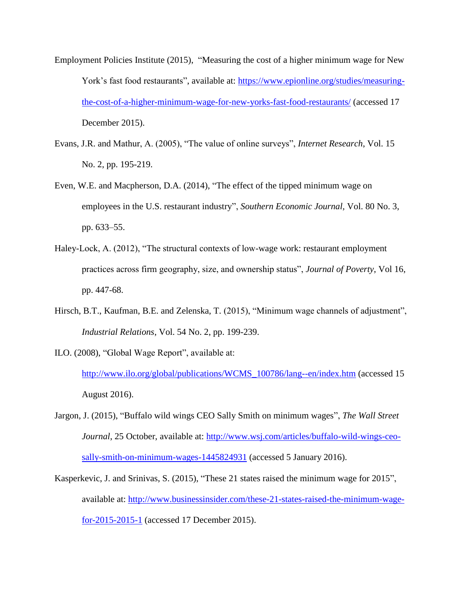- Employment Policies Institute (2015), "Measuring the cost of a higher minimum wage for New York's fast food restaurants", available at: [https://www.epionline.org/studies/measuring](https://www.epionline.org/studies/measuring-the-cost-of-a-higher-minimum-wage-for-new-yorks-fast-food-restaurants/)[the-cost-of-a-higher-minimum-wage-for-new-yorks-fast-food-restaurants/](https://www.epionline.org/studies/measuring-the-cost-of-a-higher-minimum-wage-for-new-yorks-fast-food-restaurants/) (accessed 17 December 2015).
- Evans, J.R. and Mathur, A. (2005), "The value of online surveys", *Internet Research*, Vol. 15 No. 2, pp. 195-219.
- Even, W.E. and Macpherson, D.A. (2014), "The effect of the tipped minimum wage on employees in the U.S. restaurant industry", *Southern Economic Journal,* Vol. 80 No. 3, pp. 633–55.
- Haley-Lock, A. (2012), "The structural contexts of low-wage work: restaurant employment practices across firm geography, size, and ownership status", *Journal of Poverty*, Vol 16, pp. 447-68.
- Hirsch, B.T., Kaufman, B.E. and Zelenska, T. (2015), "Minimum wage channels of adjustment", *Industrial Relations*, Vol. 54 No. 2, pp. 199-239.
- ILO. (2008), "Global Wage Report", available at:

[http://www.ilo.org/global/publications/WCMS\\_100786/lang--en/index.htm](http://www.ilo.org/global/publications/WCMS_100786/lang--en/index.htm) (accessed 15 August 2016).

- Jargon, J. (2015), "Buffalo wild wings CEO Sally Smith on minimum wages", *The Wall Street Journal*, 25 October, available at: [http://www.wsj.com/articles/buffalo-wild-wings-ceo](http://www.wsj.com/articles/buffalo-wild-wings-ceo-sally-smith-on-minimum-wages-1445824931)[sally-smith-on-minimum-wages-1445824931](http://www.wsj.com/articles/buffalo-wild-wings-ceo-sally-smith-on-minimum-wages-1445824931) (accessed 5 January 2016).
- Kasperkevic, J. and Srinivas, S. (2015), "These 21 states raised the minimum wage for 2015", available at: [http://www.businessinsider.com/these-21-states-raised-the-minimum-wage](http://www.businessinsider.com/these-21-states-raised-the-minimum-wage-for-2015-2015-1)[for-2015-2015-1](http://www.businessinsider.com/these-21-states-raised-the-minimum-wage-for-2015-2015-1) (accessed 17 December 2015).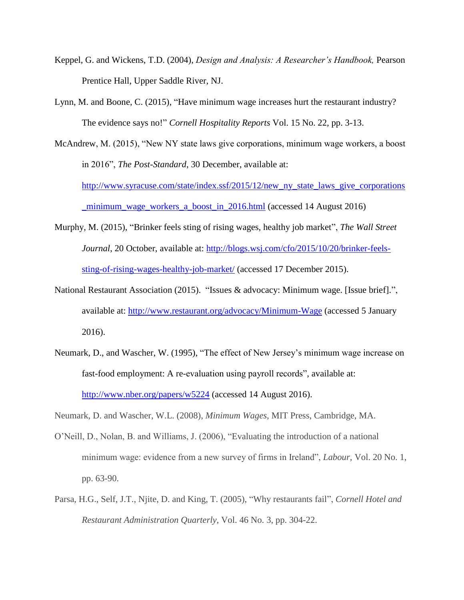- Keppel, G. and Wickens, T.D. (2004), *Design and Analysis: A Researcher's Handbook,* Pearson Prentice Hall, Upper Saddle River, NJ.
- Lynn, M. and Boone, C. (2015), "Have minimum wage increases hurt the restaurant industry? The evidence says no!" *Cornell Hospitality Reports* Vol. 15 No. 22, pp. 3-13.

McAndrew, M. (2015), "New NY state laws give corporations, minimum wage workers, a boost in 2016", *The Post-Standard*, 30 December, available at: [http://www.syracuse.com/state/index.ssf/2015/12/new\\_ny\\_state\\_laws\\_give\\_corporations](http://www.syracuse.com/state/index.ssf/2015/12/new_ny_state_laws_give_corporations_minimum_wage_workers_a_boost_in_2016.html)

[\\_minimum\\_wage\\_workers\\_a\\_boost\\_in\\_2016.html](http://www.syracuse.com/state/index.ssf/2015/12/new_ny_state_laws_give_corporations_minimum_wage_workers_a_boost_in_2016.html) (accessed 14 August 2016)

- Murphy, M. (2015), "Brinker feels sting of rising wages, healthy job market", *The Wall Street Journal*, 20 October, available at: [http://blogs.wsj.com/cfo/2015/10/20/brinker-feels](http://blogs.wsj.com/cfo/2015/10/20/brinker-feels-sting-of-rising-wages-healthy-job-market/)[sting-of-rising-wages-healthy-job-market/](http://blogs.wsj.com/cfo/2015/10/20/brinker-feels-sting-of-rising-wages-healthy-job-market/) (accessed 17 December 2015).
- National Restaurant Association (2015). "Issues & advocacy: Minimum wage. [Issue brief].", available at:<http://www.restaurant.org/advocacy/Minimum-Wage> (accessed 5 January 2016).
- Neumark, D., and Wascher, W. (1995), "The effect of New Jersey's minimum wage increase on fast-food employment: A re-evaluation using payroll records", available at: <http://www.nber.org/papers/w5224> (accessed 14 August 2016).

Neumark, D. and Wascher, W.L. (2008), *Minimum Wages*, MIT Press, Cambridge, MA.

- O'Neill, D., Nolan, B. and Williams, J. (2006), "Evaluating the introduction of a national minimum wage: evidence from a new survey of firms in Ireland", *Labour,* Vol. 20 No. 1, pp. 63-90.
- Parsa, H.G., Self, J.T., Njite, D. and King, T. (2005), "Why restaurants fail", *Cornell Hotel and Restaurant Administration Quarterly*, Vol. 46 No. 3, pp. 304-22.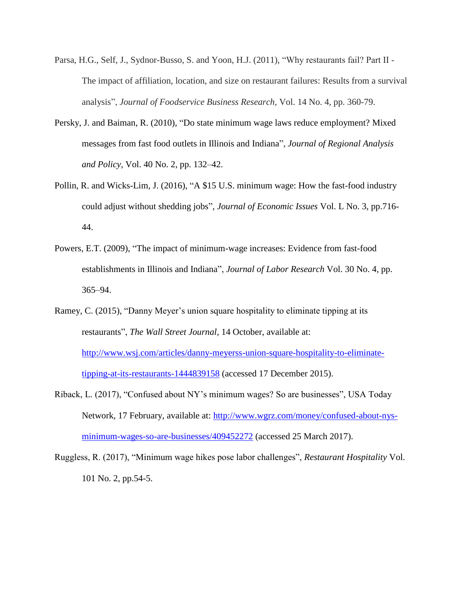- Parsa, H.G., Self, J., Sydnor-Busso, S. and Yoon, H.J. (2011), "Why restaurants fail? Part II The impact of affiliation, location, and size on restaurant failures: Results from a survival analysis", *Journal of Foodservice Business Research*, Vol. 14 No. 4, pp. 360-79.
- Persky, J. and Baiman, R. (2010), "Do state minimum wage laws reduce employment? Mixed messages from fast food outlets in Illinois and Indiana", *Journal of Regional Analysis and Policy,* Vol. 40 No. 2, pp. 132–42.
- Pollin, R. and Wicks-Lim, J. (2016), "A \$15 U.S. minimum wage: How the fast-food industry could adjust without shedding jobs", *Journal of Economic Issues* Vol. L No. 3, pp.716- 44.
- Powers, E.T. (2009), "The impact of minimum-wage increases: Evidence from fast-food establishments in Illinois and Indiana", *Journal of Labor Research* Vol. 30 No. 4, pp. 365–94.
- Ramey, C. (2015), "Danny Meyer's union square hospitality to eliminate tipping at its restaurants", *The Wall Street Journal*, 14 October, available at: [http://www.wsj.com/articles/danny-meyerss-union-square-hospitality-to-eliminate](http://www.wsj.com/articles/danny-meyerss-union-square-hospitality-to-eliminate-tipping-at-its-restaurants-1444839158)[tipping-at-its-restaurants-1444839158](http://www.wsj.com/articles/danny-meyerss-union-square-hospitality-to-eliminate-tipping-at-its-restaurants-1444839158) (accessed 17 December 2015).
- Riback, L. (2017), "Confused about NY's minimum wages? So are businesses", USA Today Network, 17 February, available at: [http://www.wgrz.com/money/confused-about-nys](http://www.wgrz.com/money/confused-about-nys-minimum-wages-so-are-businesses/409452272)[minimum-wages-so-are-businesses/409452272](http://www.wgrz.com/money/confused-about-nys-minimum-wages-so-are-businesses/409452272) (accessed 25 March 2017).
- Ruggless, R. (2017), "Minimum wage hikes pose labor challenges", *Restaurant Hospitality* Vol. 101 No. 2, pp.54-5.